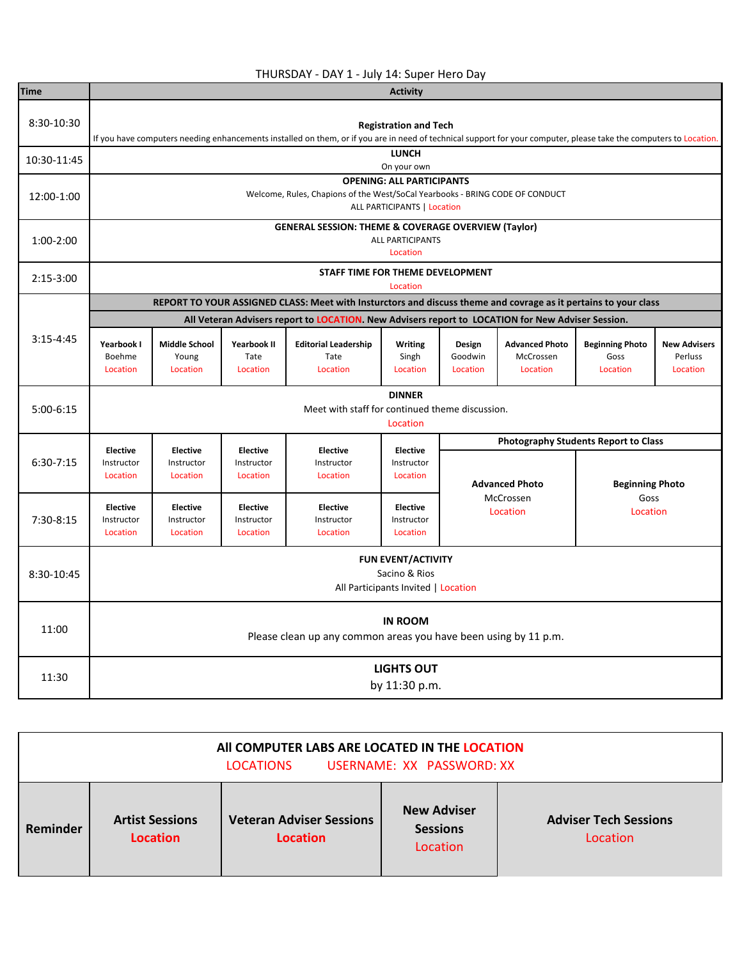## THURSDAY - DAY 1 - July 14: Super Hero Day

| <b>Time</b> | <b>Activity</b>                                                                   |                                                                                                                                                                                                    |                                           |                                                                                                                 |                                           |                               |                                                |                                             |                                            |  |  |  |
|-------------|-----------------------------------------------------------------------------------|----------------------------------------------------------------------------------------------------------------------------------------------------------------------------------------------------|-------------------------------------------|-----------------------------------------------------------------------------------------------------------------|-------------------------------------------|-------------------------------|------------------------------------------------|---------------------------------------------|--------------------------------------------|--|--|--|
| 8:30-10:30  |                                                                                   | <b>Registration and Tech</b><br>If you have computers needing enhancements installed on them, or if you are in need of technical support for your computer, please take the computers to Location. |                                           |                                                                                                                 |                                           |                               |                                                |                                             |                                            |  |  |  |
| 10:30-11:45 |                                                                                   | <b>LUNCH</b>                                                                                                                                                                                       |                                           |                                                                                                                 |                                           |                               |                                                |                                             |                                            |  |  |  |
|             | On your own<br><b>OPENING: ALL PARTICIPANTS</b>                                   |                                                                                                                                                                                                    |                                           |                                                                                                                 |                                           |                               |                                                |                                             |                                            |  |  |  |
| 12:00-1:00  |                                                                                   | Welcome, Rules, Chapions of the West/SoCal Yearbooks - BRING CODE OF CONDUCT<br>ALL PARTICIPANTS   Location                                                                                        |                                           |                                                                                                                 |                                           |                               |                                                |                                             |                                            |  |  |  |
| $1:00-2:00$ |                                                                                   | <b>GENERAL SESSION: THEME &amp; COVERAGE OVERVIEW (Taylor)</b><br><b>ALL PARTICIPANTS</b><br>Location                                                                                              |                                           |                                                                                                                 |                                           |                               |                                                |                                             |                                            |  |  |  |
| $2:15-3:00$ |                                                                                   | STAFF TIME FOR THEME DEVELOPMENT<br>Location                                                                                                                                                       |                                           |                                                                                                                 |                                           |                               |                                                |                                             |                                            |  |  |  |
|             |                                                                                   |                                                                                                                                                                                                    |                                           | REPORT TO YOUR ASSIGNED CLASS: Meet with Insturctors and discuss theme and covrage as it pertains to your class |                                           |                               |                                                |                                             |                                            |  |  |  |
|             |                                                                                   | All Veteran Advisers report to LOCATION. New Advisers report to LOCATION for New Adviser Session.                                                                                                  |                                           |                                                                                                                 |                                           |                               |                                                |                                             |                                            |  |  |  |
| $3:15-4:45$ | Yearbook I<br>Boehme<br>Location                                                  | <b>Middle School</b><br>Young<br>Location                                                                                                                                                          | Yearbook II<br>Tate<br>Location           | <b>Editorial Leadership</b><br>Tate<br>Location                                                                 | Writing<br>Singh<br>Location              | Design<br>Goodwin<br>Location | <b>Advanced Photo</b><br>McCrossen<br>Location | <b>Beginning Photo</b><br>Goss<br>Location  | <b>New Advisers</b><br>Perluss<br>Location |  |  |  |
| $5:00-6:15$ |                                                                                   |                                                                                                                                                                                                    |                                           | Meet with staff for continued theme discussion.                                                                 | <b>DINNER</b><br>Location                 |                               |                                                |                                             |                                            |  |  |  |
|             | <b>Elective</b>                                                                   | <b>Elective</b>                                                                                                                                                                                    | <b>Elective</b>                           | <b>Elective</b>                                                                                                 | <b>Elective</b>                           |                               |                                                | <b>Photography Students Report to Class</b> |                                            |  |  |  |
| $6:30-7:15$ | Instructor<br>Location                                                            | Instructor<br>Location                                                                                                                                                                             | Instructor<br>Location                    | Instructor<br>Location                                                                                          | Instructor<br>Location                    |                               | <b>Advanced Photo</b>                          | <b>Beginning Photo</b>                      |                                            |  |  |  |
| $7:30-8:15$ | <b>Elective</b><br>Instructor<br>Location                                         | <b>Elective</b><br>Instructor<br>Location                                                                                                                                                          | <b>Elective</b><br>Instructor<br>Location | <b>Elective</b><br>Instructor<br>Location                                                                       | <b>Elective</b><br>Instructor<br>Location |                               | McCrossen<br>Goss<br>Location<br>Location      |                                             |                                            |  |  |  |
| 8:30-10:45  | <b>FUN EVENT/ACTIVITY</b><br>Sacino & Rios<br>All Participants Invited   Location |                                                                                                                                                                                                    |                                           |                                                                                                                 |                                           |                               |                                                |                                             |                                            |  |  |  |
| 11:00       |                                                                                   | <b>IN ROOM</b><br>Please clean up any common areas you have been using by 11 p.m.                                                                                                                  |                                           |                                                                                                                 |                                           |                               |                                                |                                             |                                            |  |  |  |
| 11:30       |                                                                                   | <b>LIGHTS OUT</b><br>by 11:30 p.m.                                                                                                                                                                 |                                           |                                                                                                                 |                                           |                               |                                                |                                             |                                            |  |  |  |

| All COMPUTER LABS ARE LOCATED IN THE LOCATION<br>USERNAME: XX PASSWORD: XX<br><b>LOCATIONS</b> |                                           |                                             |                                                   |                                          |  |  |  |  |  |
|------------------------------------------------------------------------------------------------|-------------------------------------------|---------------------------------------------|---------------------------------------------------|------------------------------------------|--|--|--|--|--|
| Reminder                                                                                       | <b>Artist Sessions</b><br><b>Location</b> | <b>Veteran Adviser Sessions</b><br>Location | <b>New Adviser</b><br><b>Sessions</b><br>Location | <b>Adviser Tech Sessions</b><br>Location |  |  |  |  |  |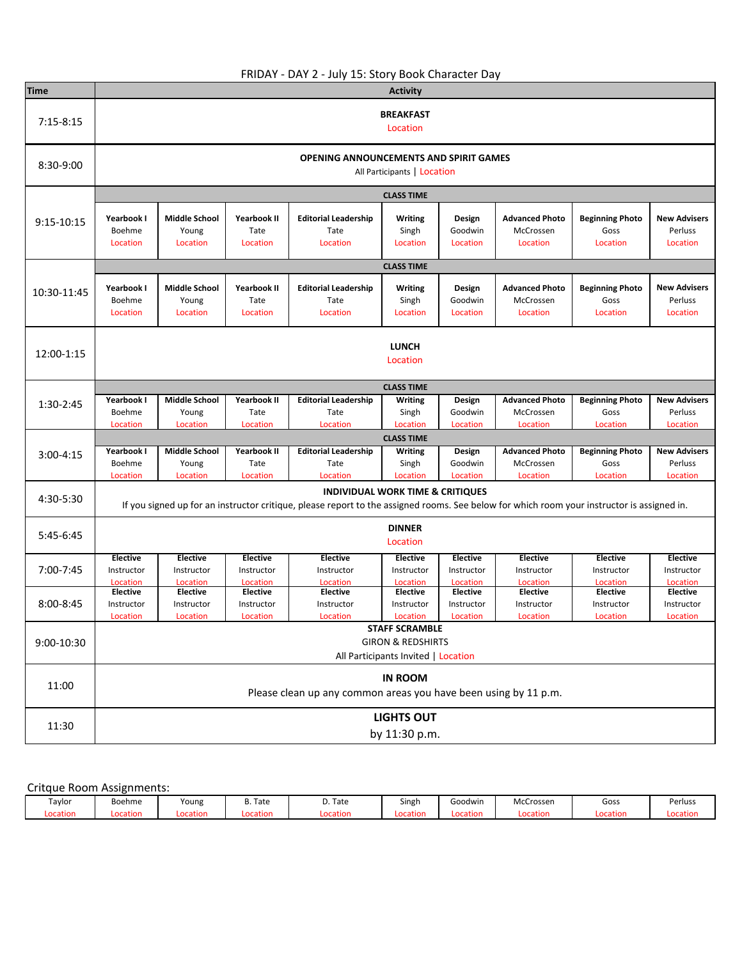|               |                                  |                                                                              |                                 | FRIDAY - DAY 2 - July 15: Story Book Character Day                                                                                                                                                    |                                     |                               |                                                |                                            |                                            |  |  |
|---------------|----------------------------------|------------------------------------------------------------------------------|---------------------------------|-------------------------------------------------------------------------------------------------------------------------------------------------------------------------------------------------------|-------------------------------------|-------------------------------|------------------------------------------------|--------------------------------------------|--------------------------------------------|--|--|
| <b>Time</b>   |                                  |                                                                              |                                 |                                                                                                                                                                                                       | <b>Activity</b>                     |                               |                                                |                                            |                                            |  |  |
| $7:15 - 8:15$ | <b>BREAKFAST</b><br>Location     |                                                                              |                                 |                                                                                                                                                                                                       |                                     |                               |                                                |                                            |                                            |  |  |
| 8:30-9:00     |                                  | <b>OPENING ANNOUNCEMENTS AND SPIRIT GAMES</b><br>All Participants   Location |                                 |                                                                                                                                                                                                       |                                     |                               |                                                |                                            |                                            |  |  |
|               | <b>CLASS TIME</b>                |                                                                              |                                 |                                                                                                                                                                                                       |                                     |                               |                                                |                                            |                                            |  |  |
| 9:15-10:15    | Yearbook I<br>Boehme<br>Location | <b>Middle School</b><br>Young<br>Location                                    | Yearbook II<br>Tate<br>Location | <b>Editorial Leadership</b><br>Tate<br>Location                                                                                                                                                       | Writing<br>Singh<br>Location        | Design<br>Goodwin<br>Location | <b>Advanced Photo</b><br>McCrossen<br>Location | <b>Beginning Photo</b><br>Goss<br>Location | <b>New Advisers</b><br>Perluss<br>Location |  |  |
|               |                                  |                                                                              |                                 |                                                                                                                                                                                                       | <b>CLASS TIME</b>                   |                               |                                                |                                            |                                            |  |  |
| 10:30-11:45   | Yearbook I<br>Boehme<br>Location | <b>Middle School</b><br>Young<br>Location                                    | Yearbook II<br>Tate<br>Location | <b>Editorial Leadership</b><br>Tate<br>Location                                                                                                                                                       | Writing<br>Singh<br>Location        | Design<br>Goodwin<br>Location | <b>Advanced Photo</b><br>McCrossen<br>Location | <b>Beginning Photo</b><br>Goss<br>Location | <b>New Advisers</b><br>Perluss<br>Location |  |  |
| 12:00-1:15    |                                  | <b>LUNCH</b><br>Location                                                     |                                 |                                                                                                                                                                                                       |                                     |                               |                                                |                                            |                                            |  |  |
|               |                                  | <b>CLASS TIME</b>                                                            |                                 |                                                                                                                                                                                                       |                                     |                               |                                                |                                            |                                            |  |  |
| 1:30-2:45     | Yearbook I<br>Boehme             | <b>Middle School</b><br>Young                                                | <b>Yearbook II</b><br>Tate      | <b>Editorial Leadership</b><br>Tate                                                                                                                                                                   | Writing<br>Singh                    | Design<br>Goodwin             | <b>Advanced Photo</b><br>McCrossen             | <b>Beginning Photo</b><br>Goss             | <b>New Advisers</b><br>Perluss             |  |  |
|               | Location                         | Location                                                                     | Location                        | Location                                                                                                                                                                                              | Location<br><b>CLASS TIME</b>       | Location                      | Location                                       | Location                                   | Location                                   |  |  |
| $3:00 - 4:15$ | Yearbook I                       | Middle School                                                                | Yearbook II                     | <b>Editorial Leadership</b>                                                                                                                                                                           | <b>Writing</b>                      | Design                        | <b>Advanced Photo</b>                          | <b>Beginning Photo</b>                     | <b>New Advisers</b>                        |  |  |
|               | Boehme                           | Young                                                                        | Tate                            | Tate                                                                                                                                                                                                  | Singh                               | Goodwin                       | McCrossen                                      | Goss                                       | Perluss                                    |  |  |
| 4:30-5:30     | Location                         | Location                                                                     | Location                        | Location<br><b>INDIVIDUAL WORK TIME &amp; CRITIQUES</b><br>If you signed up for an instructor critique, please report to the assigned rooms. See below for which room your instructor is assigned in. | Location                            | Location                      | Location                                       | Location                                   | Location                                   |  |  |
| $5:45-6:45$   |                                  |                                                                              |                                 |                                                                                                                                                                                                       | <b>DINNER</b><br>Location           |                               |                                                |                                            |                                            |  |  |
|               | <b>Elective</b>                  | <b>Elective</b>                                                              | <b>Elective</b>                 | <b>Elective</b>                                                                                                                                                                                       | <b>Elective</b>                     | <b>Elective</b>               | <b>Elective</b>                                | <b>Elective</b>                            | <b>Elective</b>                            |  |  |
| 7:00-7:45     | Instructor                       | Instructor                                                                   | Instructor                      | Instructor                                                                                                                                                                                            | Instructor<br>Location              | Instructor                    | Instructor                                     | Instructor                                 | Instructor                                 |  |  |
|               | Location<br><b>Elective</b>      | <b>Location</b><br><b>Elective</b>                                           | <b>Location</b><br>Elective     | Location<br><b>Elective</b>                                                                                                                                                                           | <b>Elective</b>                     | Location<br><b>Elective</b>   | Location<br><b>Elective</b>                    | Location<br><b>Elective</b>                | Location<br><b>Elective</b>                |  |  |
| $8:00 - 8:45$ | Instructor                       | Instructor                                                                   | Instructor                      | Instructor                                                                                                                                                                                            | Instructor                          | Instructor                    | Instructor                                     | Instructor                                 | Instructor                                 |  |  |
|               | Location                         | Location                                                                     | Location                        | Location                                                                                                                                                                                              | Location                            | Location                      | Location                                       | Location                                   | Location                                   |  |  |
| 9:00-10:30    |                                  | <b>STAFF SCRAMBLE</b><br><b>GIRON &amp; REDSHIRTS</b>                        |                                 |                                                                                                                                                                                                       |                                     |                               |                                                |                                            |                                            |  |  |
|               |                                  |                                                                              |                                 |                                                                                                                                                                                                       | All Participants Invited   Location |                               |                                                |                                            |                                            |  |  |
| 11:00         |                                  |                                                                              |                                 | Please clean up any common areas you have been using by 11 p.m.                                                                                                                                       | <b>IN ROOM</b>                      |                               |                                                |                                            |                                            |  |  |
| 11:30         |                                  |                                                                              |                                 |                                                                                                                                                                                                       | <b>LIGHTS OUT</b><br>by 11:30 p.m.  |                               |                                                |                                            |                                            |  |  |

## Critque Room Assignments:

| Taylor   | Boehme   | Young    | Tate<br>υ. | D. Tate  | $ -$<br>Singh | Goodwin  | McCrossen | Goss     | Perluss  |
|----------|----------|----------|------------|----------|---------------|----------|-----------|----------|----------|
| Location | .ocation | Location | Locatior   | Location | .ocation      | Location | ∟ocation  | ocation! | Locatior |
|          |          |          |            |          |               |          |           |          |          |